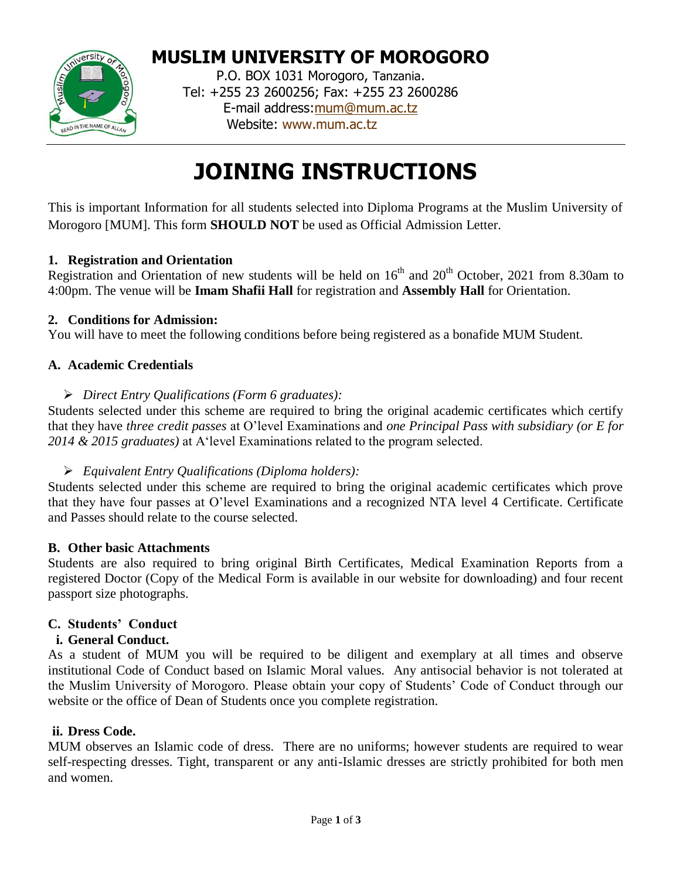

# **MUSLIM UNIVERSITY OF MOROGORO**

P.O. BOX 1031 Morogoro, Tanzania. Tel: +255 23 2600256; Fax: +255 23 2600286 E-mail address[:mum@mum.ac.tz](mailto:mum@mum.ac.tz) Website: [www.mum.ac.tz](http://www.mum.ac.tz/)

# **JOINING INSTRUCTIONS**

This is important Information for all students selected into Diploma Programs at the Muslim University of Morogoro [MUM]. This form **SHOULD NOT** be used as Official Admission Letter.

# **1. Registration and Orientation**

Registration and Orientation of new students will be held on  $16<sup>th</sup>$  and  $20<sup>th</sup>$  October, 2021 from 8.30am to 4:00pm. The venue will be **Imam Shafii Hall** for registration and **Assembly Hall** for Orientation.

# **2. Conditions for Admission:**

You will have to meet the following conditions before being registered as a bonafide MUM Student.

# **A. Academic Credentials**

#### *Direct Entry Qualifications (Form 6 graduates):*

Students selected under this scheme are required to bring the original academic certificates which certify that they have *three credit passes* at O'level Examinations and *one Principal Pass with subsidiary (or E for 2014 & 2015 graduates)* at A'level Examinations related to the program selected.

# *Equivalent Entry Qualifications (Diploma holders):*

Students selected under this scheme are required to bring the original academic certificates which prove that they have four passes at O'level Examinations and a recognized NTA level 4 Certificate. Certificate and Passes should relate to the course selected.

#### **B. Other basic Attachments**

Students are also required to bring original Birth Certificates, Medical Examination Reports from a registered Doctor (Copy of the Medical Form is available in our website for downloading) and four recent passport size photographs.

# **C. Students' Conduct**

#### **i. General Conduct.**

As a student of MUM you will be required to be diligent and exemplary at all times and observe institutional Code of Conduct based on Islamic Moral values. Any antisocial behavior is not tolerated at the Muslim University of Morogoro. Please obtain your copy of Students' Code of Conduct through our website or the office of Dean of Students once you complete registration.

#### **ii. Dress Code.**

MUM observes an Islamic code of dress. There are no uniforms; however students are required to wear self-respecting dresses. Tight, transparent or any anti-Islamic dresses are strictly prohibited for both men and women.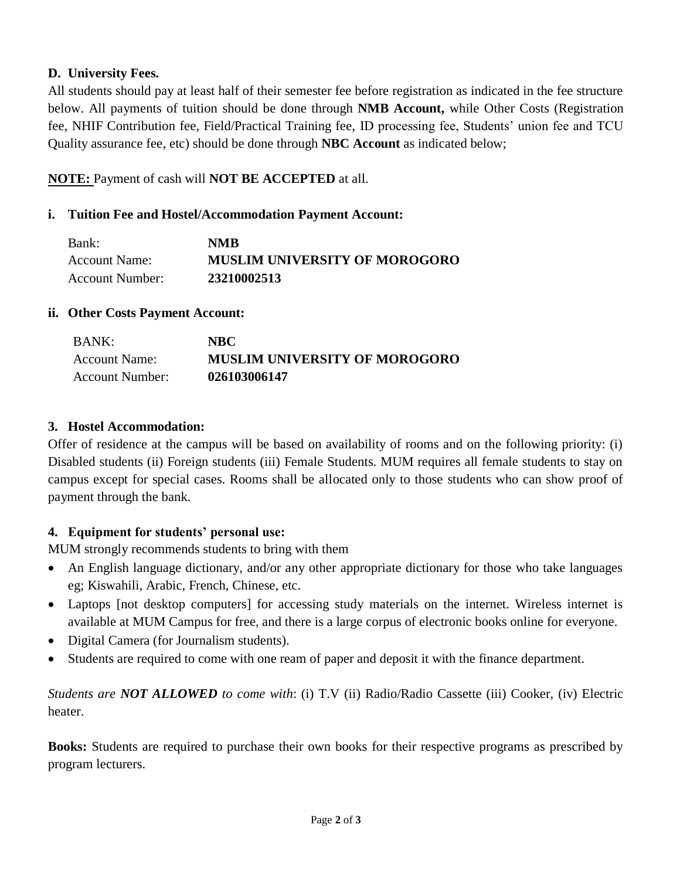# **D. University Fees.**

All students should pay at least half of their semester fee before registration as indicated in the fee structure below. All payments of tuition should be done through **NMB Account,** while Other Costs (Registration fee, NHIF Contribution fee, Field/Practical Training fee, ID processing fee, Students' union fee and TCU Quality assurance fee, etc) should be done through **NBC Account** as indicated below;

# **NOTE:** Payment of cash will **NOT BE ACCEPTED** at all.

# **i. Tuition Fee and Hostel/Accommodation Payment Account:**

| Bank:           | <b>NMB</b>                           |
|-----------------|--------------------------------------|
| Account Name:   | <b>MUSLIM UNIVERSITY OF MOROGORO</b> |
| Account Number: | 23210002513                          |

## **ii. Other Costs Payment Account:**

| <b>BANK:</b>    | NBC.                                 |
|-----------------|--------------------------------------|
| Account Name:   | <b>MUSLIM UNIVERSITY OF MOROGORO</b> |
| Account Number: | 026103006147                         |

## **3. Hostel Accommodation:**

Offer of residence at the campus will be based on availability of rooms and on the following priority: (i) Disabled students (ii) Foreign students (iii) Female Students. MUM requires all female students to stay on campus except for special cases. Rooms shall be allocated only to those students who can show proof of payment through the bank.

# **4. Equipment for students' personal use:**

MUM strongly recommends students to bring with them

- An English language dictionary, and/or any other appropriate dictionary for those who take languages eg; Kiswahili, Arabic, French, Chinese, etc.
- Laptops [not desktop computers] for accessing study materials on the internet. Wireless internet is available at MUM Campus for free, and there is a large corpus of electronic books online for everyone.
- Digital Camera (for Journalism students).
- Students are required to come with one ream of paper and deposit it with the finance department.

*Students are NOT ALLOWED to come with*: (i) T.V (ii) Radio/Radio Cassette (iii) Cooker, (iv) Electric heater.

**Books:** Students are required to purchase their own books for their respective programs as prescribed by program lecturers.